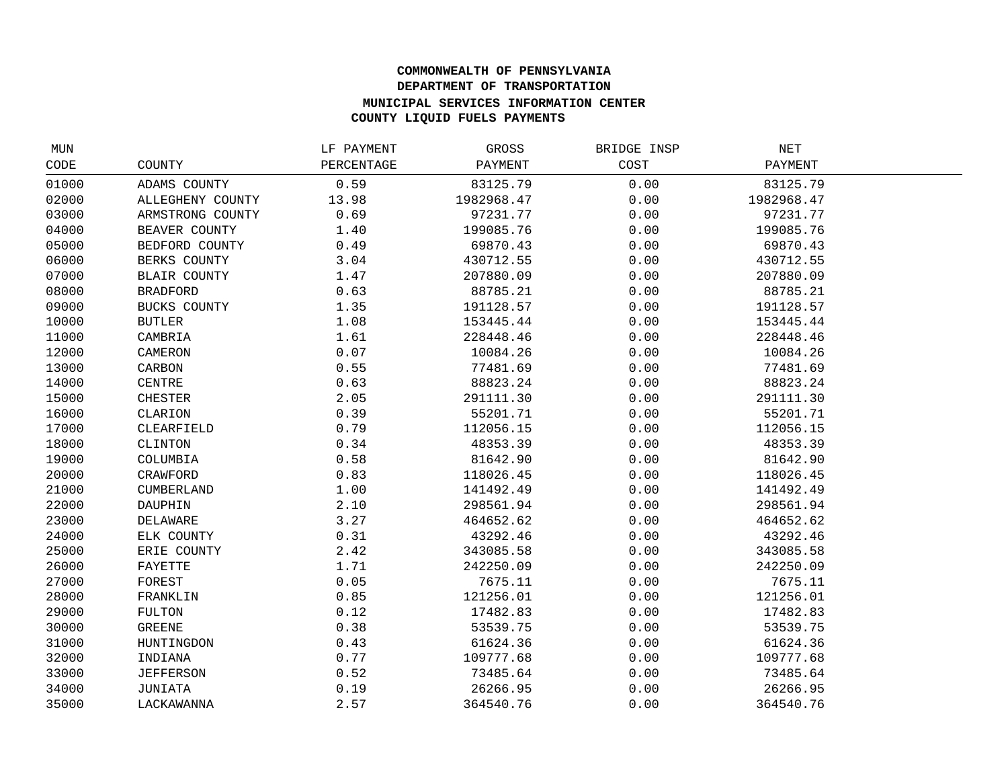## **COMMONWEALTH OF PENNSYLVANIA DEPARTMENT OF TRANSPORTATION MUNICIPAL SERVICES INFORMATION CENTER COUNTY LIQUID FUELS PAYMENTS**

| MUN   |                     | LF PAYMENT | GROSS      | BRIDGE INSP | NET        |  |
|-------|---------------------|------------|------------|-------------|------------|--|
| CODE  | COUNTY              | PERCENTAGE | PAYMENT    | COST        | PAYMENT    |  |
| 01000 | ADAMS COUNTY        | 0.59       | 83125.79   | 0.00        | 83125.79   |  |
| 02000 | ALLEGHENY COUNTY    | 13.98      | 1982968.47 | 0.00        | 1982968.47 |  |
| 03000 | ARMSTRONG COUNTY    | 0.69       | 97231.77   | 0.00        | 97231.77   |  |
| 04000 | BEAVER COUNTY       | 1.40       | 199085.76  | 0.00        | 199085.76  |  |
| 05000 | BEDFORD COUNTY      | 0.49       | 69870.43   | 0.00        | 69870.43   |  |
| 06000 | BERKS COUNTY        | 3.04       | 430712.55  | 0.00        | 430712.55  |  |
| 07000 | <b>BLAIR COUNTY</b> | 1.47       | 207880.09  | 0.00        | 207880.09  |  |
| 08000 | <b>BRADFORD</b>     | 0.63       | 88785.21   | 0.00        | 88785.21   |  |
| 09000 | BUCKS COUNTY        | 1.35       | 191128.57  | 0.00        | 191128.57  |  |
| 10000 | <b>BUTLER</b>       | 1.08       | 153445.44  | 0.00        | 153445.44  |  |
| 11000 | CAMBRIA             | 1.61       | 228448.46  | 0.00        | 228448.46  |  |
| 12000 | CAMERON             | 0.07       | 10084.26   | 0.00        | 10084.26   |  |
| 13000 | CARBON              | 0.55       | 77481.69   | 0.00        | 77481.69   |  |
| 14000 | CENTRE              | 0.63       | 88823.24   | 0.00        | 88823.24   |  |
| 15000 | <b>CHESTER</b>      | 2.05       | 291111.30  | 0.00        | 291111.30  |  |
| 16000 | CLARION             | 0.39       | 55201.71   | 0.00        | 55201.71   |  |
| 17000 | CLEARFIELD          | 0.79       | 112056.15  | 0.00        | 112056.15  |  |
| 18000 | CLINTON             | 0.34       | 48353.39   | 0.00        | 48353.39   |  |
| 19000 | COLUMBIA            | 0.58       | 81642.90   | 0.00        | 81642.90   |  |
| 20000 | CRAWFORD            | 0.83       | 118026.45  | 0.00        | 118026.45  |  |
| 21000 | CUMBERLAND          | 1.00       | 141492.49  | 0.00        | 141492.49  |  |
| 22000 | DAUPHIN             | 2.10       | 298561.94  | 0.00        | 298561.94  |  |
| 23000 | DELAWARE            | 3.27       | 464652.62  | 0.00        | 464652.62  |  |
| 24000 | ELK COUNTY          | 0.31       | 43292.46   | 0.00        | 43292.46   |  |
| 25000 | ERIE COUNTY         | 2.42       | 343085.58  | 0.00        | 343085.58  |  |
| 26000 | FAYETTE             | 1.71       | 242250.09  | 0.00        | 242250.09  |  |
| 27000 | FOREST              | 0.05       | 7675.11    | 0.00        | 7675.11    |  |
| 28000 | FRANKLIN            | 0.85       | 121256.01  | 0.00        | 121256.01  |  |
| 29000 | FULTON              | 0.12       | 17482.83   | 0.00        | 17482.83   |  |
| 30000 | <b>GREENE</b>       | 0.38       | 53539.75   | 0.00        | 53539.75   |  |
| 31000 | HUNTINGDON          | 0.43       | 61624.36   | 0.00        | 61624.36   |  |
| 32000 | INDIANA             | 0.77       | 109777.68  | 0.00        | 109777.68  |  |
| 33000 | <b>JEFFERSON</b>    | 0.52       | 73485.64   | 0.00        | 73485.64   |  |
| 34000 | JUNIATA             | 0.19       | 26266.95   | 0.00        | 26266.95   |  |
| 35000 | LACKAWANNA          | 2.57       | 364540.76  | 0.00        | 364540.76  |  |